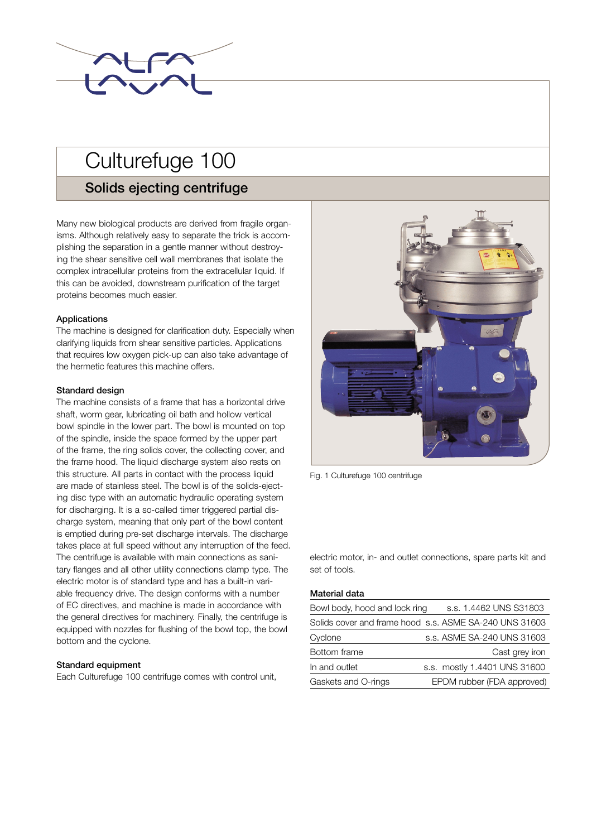

# Culturefuge 100

# Solids ejecting centrifuge

Many new biological products are derived from fragile organisms. Although relatively easy to separate the trick is accomplishing the separation in a gentle manner without destroying the shear sensitive cell wall membranes that isolate the complex intracellular proteins from the extracellular liquid. If this can be avoided, downstream purification of the target proteins becomes much easier.

## Applications

The machine is designed for clarification duty. Especially when clarifying liquids from shear sensitive particles. Applications that requires low oxygen pick-up can also take advantage of the hermetic features this machine offers.

## Standard design

The machine consists of a frame that has a horizontal drive shaft, worm gear, lubricating oil bath and hollow vertical bowl spindle in the lower part. The bowl is mounted on top of the spindle, inside the space formed by the upper part of the frame, the ring solids cover, the collecting cover, and the frame hood. The liquid discharge system also rests on this structure. All parts in contact with the process liquid are made of stainless steel. The bowl is of the solids-ejecting disc type with an automatic hydraulic operating system for discharging. It is a so-called timer triggered partial discharge system, meaning that only part of the bowl content is emptied during pre-set discharge intervals. The discharge takes place at full speed without any interruption of the feed. The centrifuge is available with main connections as sanitary flanges and all other utility connections clamp type. The electric motor is of standard type and has a built-in variable frequency drive. The design conforms with a number of EC directives, and machine is made in accordance with the general directives for machinery. Finally, the centrifuge is equipped with nozzles for flushing of the bowl top, the bowl bottom and the cyclone.

## Standard equipment

Each Culturefuge 100 centrifuge comes with control unit,



Fig. 1 Culturefuge 100 centrifuge

electric motor, in- and outlet connections, spare parts kit and set of tools.

# Material data

| Bowl body, hood and lock ring | s.s. 1.4462 UNS S31803                                 |
|-------------------------------|--------------------------------------------------------|
|                               | Solids cover and frame hood s.s. ASME SA-240 UNS 31603 |
| Cyclone                       | s.s. ASME SA-240 UNS 31603                             |
| Bottom frame                  | Cast grey iron                                         |
| In and outlet                 | s.s. mostly 1.4401 UNS 31600                           |
| Gaskets and O-rings           | EPDM rubber (FDA approved)                             |